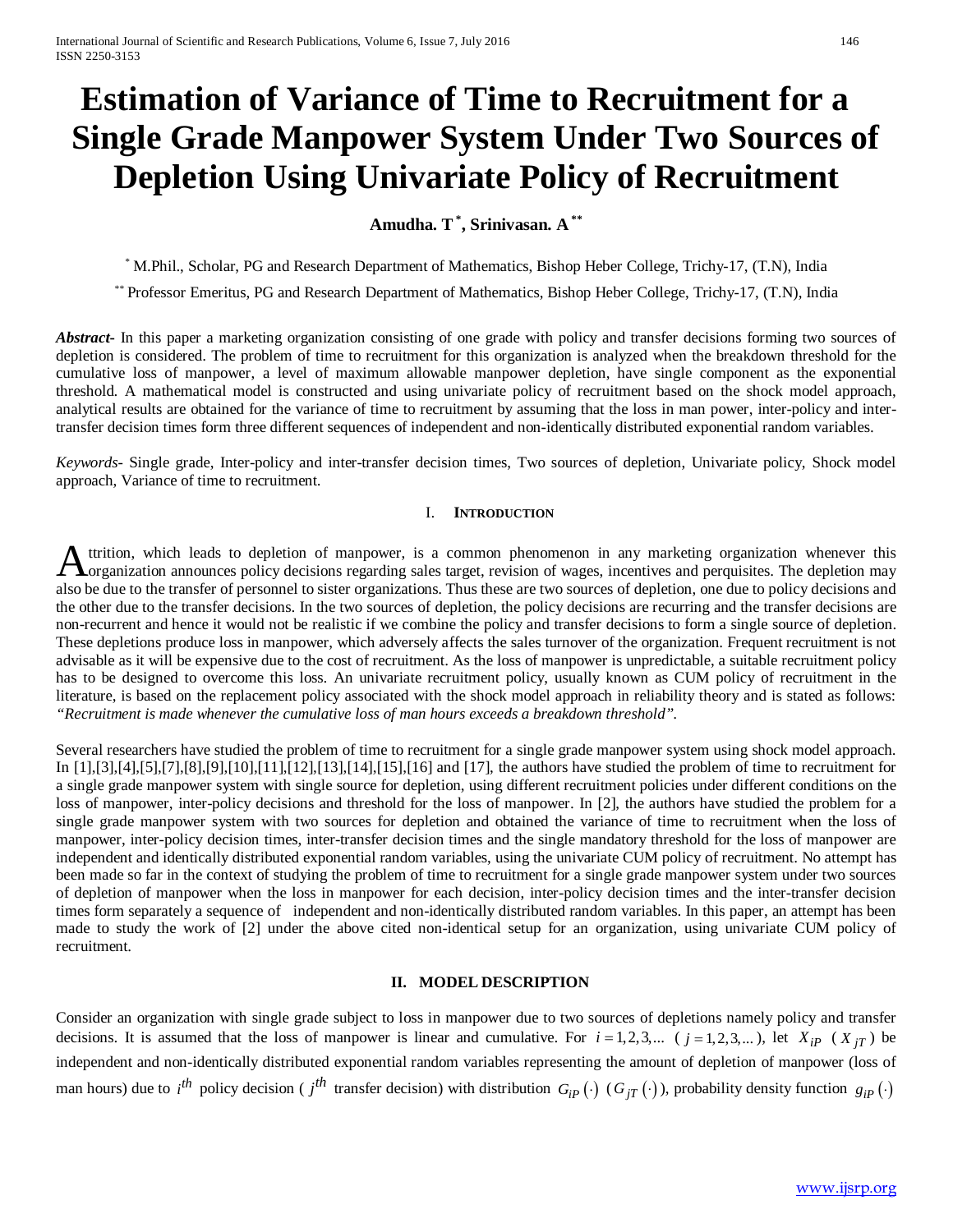# **Estimation of Variance of Time to Recruitment for a Single Grade Manpower System Under Two Sources of Depletion Using Univariate Policy of Recruitment**

# **Amudha. T\* , Srinivasan. A \*\***

*\** M.Phil., Scholar, PG and Research Department of Mathematics, Bishop Heber College, Trichy-17, (T.N), India

*\*\** Professor Emeritus, PG and Research Department of Mathematics, Bishop Heber College, Trichy-17, (T.N), India

Abstract<sub>ri</sub> In this paper a marketing organization consisting of one grade with policy and transfer decisions forming two sources of depletion is considered. The problem of time to recruitment for this organization is analyzed when the breakdown threshold for the cumulative loss of manpower, a level of maximum allowable manpower depletion, have single component as the exponential threshold. A mathematical model is constructed and using univariate policy of recruitment based on the shock model approach, analytical results are obtained for the variance of time to recruitment by assuming that the loss in man power, inter-policy and intertransfer decision times form three different sequences of independent and non-identically distributed exponential random variables.

*Keywords*- Single grade, Inter-policy and inter-transfer decision times, Two sources of depletion, Univariate policy, Shock model approach, Variance of time to recruitment.

### I. **INTRODUCTION**

ttrition, which leads to depletion of manpower, is a common phenomenon in any marketing organization whenever this A ttrition, which leads to depletion of manpower, is a common phenomenon in any marketing organization whenever this organization announces policy decisions regarding sales target, revision of wages, incentives and perquis also be due to the transfer of personnel to sister organizations. Thus these are two sources of depletion, one due to policy decisions and the other due to the transfer decisions. In the two sources of depletion, the policy decisions are recurring and the transfer decisions are non-recurrent and hence it would not be realistic if we combine the policy and transfer decisions to form a single source of depletion. These depletions produce loss in manpower, which adversely affects the sales turnover of the organization. Frequent recruitment is not advisable as it will be expensive due to the cost of recruitment. As the loss of manpower is unpredictable, a suitable recruitment policy has to be designed to overcome this loss. An univariate recruitment policy, usually known as CUM policy of recruitment in the literature, is based on the replacement policy associated with the shock model approach in reliability theory and is stated as follows: *"Recruitment is made whenever the cumulative loss of man hours exceeds a breakdown threshold".*

Several researchers have studied the problem of time to recruitment for a single grade manpower system using shock model approach. In [1],[3],[4],[5],[7],[8],[9],[10],[11],[12],[13],[14],[15],[16] and [17], the authors have studied the problem of time to recruitment for a single grade manpower system with single source for depletion, using different recruitment policies under different conditions on the loss of manpower, inter-policy decisions and threshold for the loss of manpower. In [2], the authors have studied the problem for a single grade manpower system with two sources for depletion and obtained the variance of time to recruitment when the loss of manpower, inter-policy decision times, inter-transfer decision times and the single mandatory threshold for the loss of manpower are independent and identically distributed exponential random variables, using the univariate CUM policy of recruitment. No attempt has been made so far in the context of studying the problem of time to recruitment for a single grade manpower system under two sources of depletion of manpower when the loss in manpower for each decision, inter-policy decision times and the inter-transfer decision times form separately a sequence of independent and non-identically distributed random variables. In this paper, an attempt has been made to study the work of [2] under the above cited non-identical setup for an organization, using univariate CUM policy of recruitment.

## **II. MODEL DESCRIPTION**

Consider an organization with single grade subject to loss in manpower due to two sources of depletions namely policy and transfer decisions. It is assumed that the loss of manpower is linear and cumulative. For  $i = 1, 2, 3,...$  ( $j = 1, 2, 3,...$ ), let  $X_{ip}$  ( $X_{iT}$ ) be independent and non-identically distributed exponential random variables representing the amount of depletion of manpower (loss of man hours) due to  $i^{th}$  policy decision (  $j^{th}$  transfer decision) with distribution  $G_{iP}(\cdot)$  ( $G_{jT}(\cdot)$ ), probability density function  $g_{iP}(\cdot)$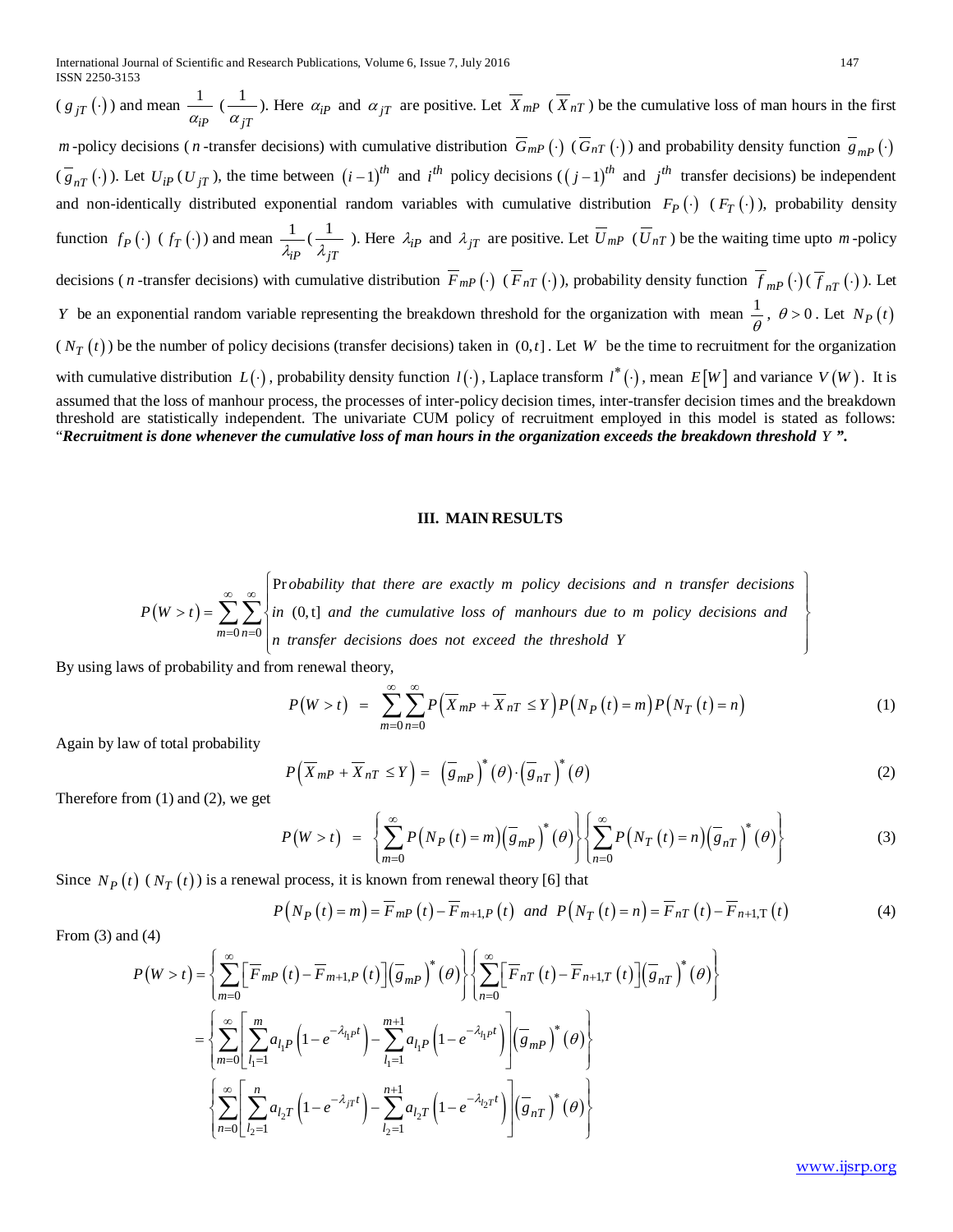$(g_{jT}(\cdot))$  and mean  $\frac{1}{\alpha_{iP}}$  $\frac{1}{\sqrt{2}}$  $\frac{dI}{dt}$ ). Here  $\alpha_{iP}$  and  $\alpha_{jT}$  are positive. Let  $X_{mP}$  ( $X_{nT}$ ) be the cumulative loss of man hours in the first  $\alpha_{jT}$ *m* -policy decisions (*n* -transfer decisions) with cumulative distribution  $\overline{G}_{mP}(\cdot)$  ( $\overline{G}_{nT}(\cdot)$ ) and probability density function  $\overline{g}_{mP}(\cdot)$ 

 $(\overline{g}_{nT}(\cdot))$ . Let  $U_{iP}(U_{jT})$ , the time between  $(i-1)^{th}$  and  $i^{th}$  policy decisions  $((j-1)^{th}$  and  $j^{th}$  transfer decisions) be independent and non-identically distributed exponential random variables with cumulative distribution  $F_P(\cdot)$  ( $F_T(\cdot)$ ), probability density function  $f_P(\cdot)$  ( $f_T(\cdot)$ ) and mean  $\frac{1}{\lambda_i P}$  $(\frac{1}{\sqrt{2}})$ <sup>1</sup>/<sub>*jT*</sub> ). Here  $\lambda_{iP}$  and  $\lambda_{jT}$  are positive. Let  $U_{mP}$  ( $U_{nT}$ ) be the waiting time upto *m* -policy

decisions (*n* -transfer decisions) with cumulative distribution  $\overline{F}_{m}(.)$  ( $\overline{F}_{nT}(.)$ ), probability density function  $\overline{f}_{m}(.)$  ( $\overline{f}_{nT}(.)$ ). Let *Y* be an exponential random variable representing the breakdown threshold for the organization with mean  $\frac{1}{a}$  $\frac{1}{\theta}$ ,  $\theta > 0$ . Let  $N_P(t)$ 

 $(N_T(t))$  be the number of policy decisions (transfer decisions) taken in  $(0,t]$ . Let W be the time to recruitment for the organization with cumulative distribution  $L(\cdot)$ , probability density function  $l(\cdot)$ , Laplace transform  $l^*(\cdot)$ , mean  $E[W]$  and variance  $V(W)$ . It is

assumed that the loss of manhour process, the processes of inter-policy decision times, inter-transfer decision times and the breakdown threshold are statistically independent. The univariate CUM policy of recruitment employed in this model is stated as follows: "*Recruitment is done whenever the cumulative loss of man hours in the organization exceeds the breakdown threshold Y ".* 

#### **III. MAIN RESULTS**

 $(W > t)$  $0 n = 0$ Pr  $(0, t]$ *m n obability that there are exactly m policy decisions and n transfer decisions*  $P(W > t) = \sum_{n=1}^{\infty}$  *in* (0,t) and the cumulative loss of manhours due to *m* policy decisions and *n transfer decisions does not exceed the threshold Y* ∞ ∞  $= 0 n =$  $\lceil$  Probability that there are exactly m policy decisions and n transfer decisions Procuding their there are exactly in policy accessors and it transfer accessors  $\langle x \rangle = \sum_{n=1}^{\infty} \sum_{n=1}^{\infty} \langle n(0,t) \rangle$  and the cumulative loss of manhours due to m policy decisions and  $\left\lceil n \text{ times per actions does not exceed the mean} \right\rceil$ ∑∑

By using laws of probability and from renewal theory,

$$
P(W > t) = \sum_{m=0}^{\infty} \sum_{n=0}^{\infty} P\left(\overline{X}_{m} - \overline{X}_{nT} \leq Y\right) P\left(N_P\left(t\right) = m\right) P\left(N_T\left(t\right) = n\right) \tag{1}
$$

Again by law of total probability

$$
P(\overline{X}_{mP} + \overline{X}_{nT} \le Y) = (\overline{g}_{mP})^*(\theta) \cdot (\overline{g}_{nT})^*(\theta)
$$
\nTherefore from (1) and (2), we get

\n
$$
P(\overline{X}_{mP} + \overline{X}_{nT} \le Y) = (\overline{g}_{mP})^*(\theta) \cdot (\overline{g}_{nT})^*(\theta)
$$
\n(2)

Therefore from (1) and (2), we get

$$
P(W > t) = \left\{ \sum_{m=0}^{\infty} P\left(N_P\left(t\right) = m\right) \left(\overline{g}_{mP}\right)^{*}\left(\theta\right) \right\} \left\{ \sum_{n=0}^{\infty} P\left(N_T\left(t\right) = n\right) \left(\overline{g}_{nT}\right)^{*}\left(\theta\right) \right\} \tag{3}
$$

Since  $N_P(t)$  ( $N_T(t)$ ) is a renewal process, it is known from renewal theory [6] that

$$
P\left(N_P\left(t\right) = m\right) = \overline{F}_{mP}\left(t\right) - \overline{F}_{m+1,P}\left(t\right) \quad \text{and} \quad P\left(N_T\left(t\right) = n\right) = \overline{F}_{nT}\left(t\right) - \overline{F}_{n+1,T}\left(t\right) \tag{4}
$$

From 
$$
(3)
$$
 and  $(4)$ 

$$
P(W > t) = \left\{ \sum_{m=0}^{\infty} \left[ \overline{F}_{mP}(t) - \overline{F}_{m+1,P}(t) \right] \left( \overline{g}_{mP} \right)^{*} (\theta) \right\} \left\{ \sum_{n=0}^{\infty} \left[ \overline{F}_{nT}(t) - \overline{F}_{n+1,T}(t) \right] \left( \overline{g}_{nT} \right)^{*} (\theta) \right\}
$$

$$
= \left\{ \sum_{m=0}^{\infty} \left[ \sum_{l_1=1}^{m} a_{l_1P} \left( 1 - e^{-\lambda_{l_1}P t} \right) - \sum_{l_1=1}^{m+1} a_{l_1P} \left( 1 - e^{-\lambda_{l_1}P t} \right) \right] \left( \overline{g}_{mP} \right)^{*} (\theta) \right\}
$$

$$
\left\{ \sum_{n=0}^{\infty} \left[ \sum_{l_2=1}^{n} a_{l_2T} \left( 1 - e^{-\lambda_{jT}t} \right) - \sum_{l_2=1}^{n+1} a_{l_2T} \left( 1 - e^{-\lambda_{l_2}P t} \right) \right] \left( \overline{g}_{nT} \right)^{*} (\theta) \right\}
$$

[www.ijsrp.org](http://ijsrp.org/)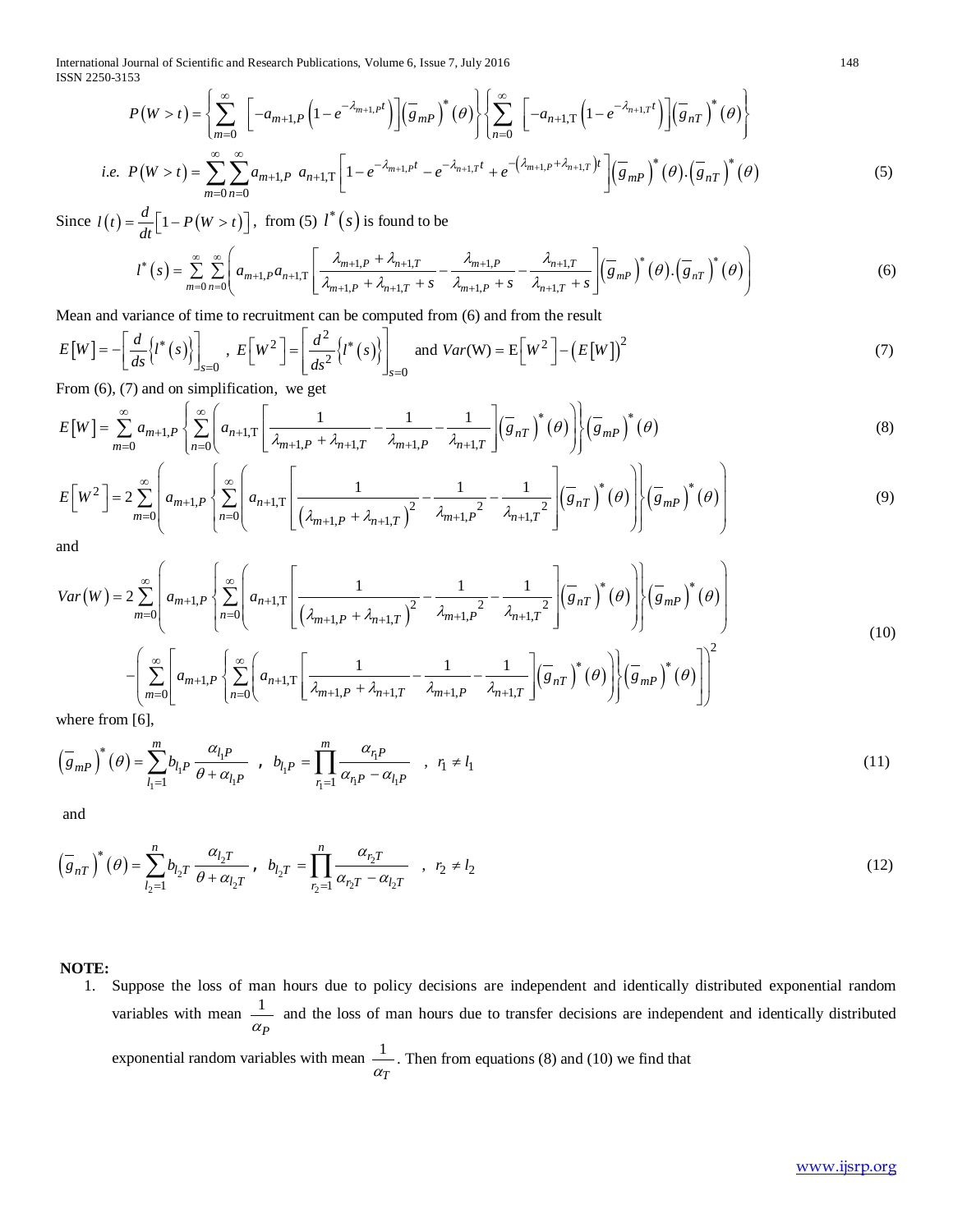International Journal of Scientific and Research Publications, Volume 6, Issue 7, July 2016 148 ISSN 2250-3153

$$
P(W > t) = \left\{ \sum_{m=0}^{\infty} \left[ -a_{m+1,P} \left( 1 - e^{-\lambda_{m+1,P}t} \right) \right] \left( \overline{g}_{mP} \right)^{*}(\theta) \right\} \left\{ \sum_{n=0}^{\infty} \left[ -a_{n+1,T} \left( 1 - e^{-\lambda_{n+1,T}t} \right) \right] \left( \overline{g}_{nT} \right)^{*}(\theta) \right\}
$$
  
*i.e.* 
$$
P(W > t) = \sum_{m=0}^{\infty} \sum_{n=0}^{\infty} a_{m+1,P} a_{n+1,T} \left[ 1 - e^{-\lambda_{m+1,P}t} - e^{-\lambda_{n+1,T}t} + e^{-\left( \lambda_{m+1,P} + \lambda_{n+1,T} \right)t} \right] \left( \overline{g}_{mP} \right)^{*}(\theta) \cdot \left( \overline{g}_{nT} \right)^{*}(\theta)
$$
(5)

Since  $l(t) = \frac{d}{dt} \left[1 - P(W > t)\right]$ , from (5)  $l^*(s)$  is found to be

$$
l^*(s) = \sum_{m=0}^{\infty} \sum_{n=0}^{\infty} \left( a_{m+1,P} a_{n+1,T} \left[ \frac{\lambda_{m+1,P} + \lambda_{n+1,T}}{\lambda_{m+1,P} + \lambda_{n+1,T} + s} - \frac{\lambda_{m+1,P}}{\lambda_{m+1,P} + s} - \frac{\lambda_{n+1,T}}{\lambda_{n+1,T} + s} \right] \left( \overline{g}_{m,P} \right)^*(\theta) \cdot \left( \overline{g}_{n,T} \right)^*(\theta) \right) \tag{6}
$$

Mean and variance of time to recruitment can be computed from (6) and from the result

$$
E[W] = -\left[\frac{d}{ds}\left\{l^*(s)\right\}\right]_{s=0}, \ E\left[W^2\right] = \left\lfloor\frac{d^2}{ds^2}\left\{l^*(s)\right\}\right\rfloor_{s=0} \text{ and } Var(W) = E\left[W^2\right] - \left(E[W]\right)^2
$$
\n<sup>(7)</sup>

From (6), (7) and on simplification, we get

$$
E[W] = \sum_{m=0}^{\infty} a_{m+1,P} \left\{ \sum_{n=0}^{\infty} \left( a_{n+1,T} \left[ \frac{1}{\lambda_{m+1,P} + \lambda_{n+1,T}} - \frac{1}{\lambda_{m+1,P}} - \frac{1}{\lambda_{n+1,T}} \right] \left( \overline{g}_{n,T} \right)^{*}(\theta) \right\} \left( \overline{g}_{m,P} \right)^{*}(\theta) \tag{8}
$$

$$
E\left[W^{2}\right] = 2\sum_{m=0}^{\infty} \left( a_{m+1,P} \left\{ \sum_{n=0}^{\infty} \left( a_{n+1,T} \left[ \frac{1}{\left(\lambda_{m+1,P} + \lambda_{n+1,T}\right)^{2}} - \frac{1}{\lambda_{m+1,P}^{2}} - \frac{1}{\lambda_{n+1,T}^{2}} \right] \left( \overline{s}_{n,T} \right)^{*}(\theta) \right) \right\} \left( \overline{s}_{m,P} \right)^{*}(\theta) \right)
$$
\n(9)

and

$$
Var(W) = 2 \sum_{m=0}^{\infty} \left[ a_{m+1,P} \left\{ \sum_{n=0}^{\infty} \left( a_{n+1,T} \left[ \frac{1}{\left( \lambda_{m+1,P} + \lambda_{n+1,T} \right)^2} - \frac{1}{\lambda_{m+1,P}^2} - \frac{1}{\lambda_{n+1,T}^2} \right] \left( \overline{s}_{nT} \right)^* (\theta) \right] \right\} (\overline{s}_{mP})^* (\theta) \right]
$$
  
 
$$
- \left( \sum_{m=0}^{\infty} \left[ a_{m+1,P} \left\{ \sum_{n=0}^{\infty} \left( a_{n+1,T} \left[ \frac{1}{\lambda_{m+1,P} + \lambda_{n+1,T}} - \frac{1}{\lambda_{m+1,P}} - \frac{1}{\lambda_{n+1,T}} \right] \left( \overline{s}_{nT} \right)^* (\theta) \right] \right\} (\overline{s}_{mP})^* (\theta) \right] \right\}^2
$$
  
where from [6].

where from [6],

$$
\left(\overline{g}_{mP}\right)^{*}\left(\theta\right) = \sum_{l_1=1}^{m} b_{l_1P} \frac{\alpha_{l_1P}}{\theta + \alpha_{l_1P}} , b_{l_1P} = \prod_{r_1=1}^{m} \frac{\alpha_{r_1P}}{\alpha_{r_1P} - \alpha_{l_1P}} , r_1 \neq l_1
$$
\n(11)

and

$$
\left(\overline{g}_{nT}\right)^{*}\left(\theta\right) = \sum_{l_2=1}^{n} b_{l_2 T} \frac{\alpha_{l_2 T}}{\theta + \alpha_{l_2 T}}, \quad b_{l_2 T} = \prod_{r_2=1}^{n} \frac{\alpha_{r_2 T}}{\alpha_{r_2 T} - \alpha_{l_2 T}}, \quad r_2 \neq l_2
$$
\n(12)

**NOTE:**

1. Suppose the loss of man hours due to policy decisions are independent and identically distributed exponential random variables with mean  $\frac{1}{1}$ <sup>α</sup>*P* and the loss of man hours due to transfer decisions are independent and identically distributed exponential random variables with mean  $\frac{1}{1}$ <sup>α</sup>*T* . Then from equations (8) and (10) we find that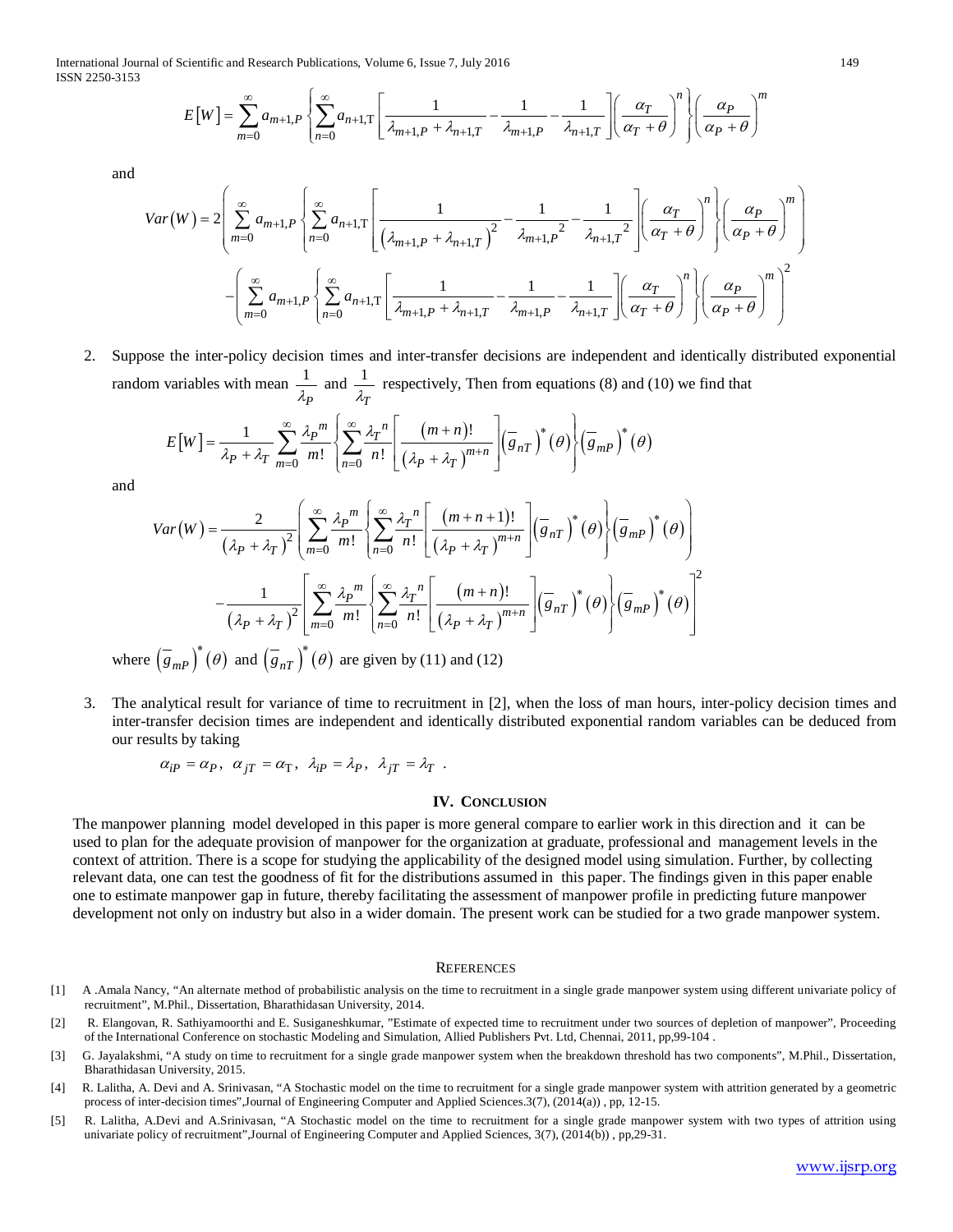International Journal of Scientific and Research Publications, Volume 6, Issue 7, July 2016 149 ISSN 2250-3153

$$
E[W] = \sum_{m=0}^{\infty} a_{m+1,P} \left\{ \sum_{n=0}^{\infty} a_{n+1,T} \left[ \frac{1}{\lambda_{m+1,P} + \lambda_{n+1,T}} - \frac{1}{\lambda_{m+1,P}} - \frac{1}{\lambda_{n+1,T}} \right] \left( \frac{\alpha_T}{\alpha_T + \theta} \right)^n \right\} \left( \frac{\alpha_P}{\alpha_P + \theta} \right)^m
$$

and

$$
Var(W) = 2\left(\sum_{m=0}^{\infty} a_{m+1,P} \left\{\sum_{n=0}^{\infty} a_{n+1,T} \left[\frac{1}{\left(\lambda_{m+1,P} + \lambda_{n+1,T}\right)^2} - \frac{1}{\lambda_{m+1,P}^2} - \frac{1}{\lambda_{n+1,T}^2}\right] \left(\frac{\alpha_T}{\alpha_T + \theta}\right)^n\right\} \left(\frac{\alpha_P}{\alpha_P + \theta}\right)^m
$$

$$
-\left(\sum_{m=0}^{\infty} a_{m+1,P} \left\{\sum_{n=0}^{\infty} a_{n+1,T} \left[\frac{1}{\lambda_{m+1,P} + \lambda_{n+1,T}} - \frac{1}{\lambda_{m+1,P}} - \frac{1}{\lambda_{n+1,T}}\right] \left(\frac{\alpha_T}{\alpha_T + \theta}\right)^n\right\} \left(\frac{\alpha_P}{\alpha_P + \theta}\right)^m\right)^2
$$

2. Suppose the inter-policy decision times and inter-transfer decisions are independent and identically distributed exponential random variables with mean  $\frac{1}{2}$ λ*P* and  $\frac{1}{2}$  $\lambda_T$ respectively, Then from equations (8) and (10) we find that

$$
E[W] = \frac{1}{\lambda_P + \lambda_T} \sum_{m=0}^{\infty} \frac{\lambda_P^m}{m!} \left\{ \sum_{n=0}^{\infty} \frac{\lambda_T^n}{n!} \left[ \frac{(m+n)!}{(\lambda_P + \lambda_T)^{m+n}} \right] \left( \overline{g}_{nT} \right)^* (\theta) \right\} \left( \overline{g}_{mP} \right)^* (\theta)
$$

and

$$
Var(W) = \frac{2}{(\lambda_P + \lambda_T)^2} \left( \sum_{m=0}^{\infty} \frac{\lambda_P^m}{m!} \left\{ \sum_{n=0}^{\infty} \frac{\lambda_T^n}{n!} \left[ \frac{(m+n+1)!}{(\lambda_P + \lambda_T)^{m+n}} \right] (\overline{s}_{nT})^* (\theta) \right\} (\overline{s}_{mP})^* (\theta) \right)
$$

$$
- \frac{1}{(\lambda_P + \lambda_T)^2} \left[ \sum_{m=0}^{\infty} \frac{\lambda_P^m}{m!} \left\{ \sum_{n=0}^{\infty} \frac{\lambda_T^n}{n!} \left[ \frac{(m+n)!}{(\lambda_P + \lambda_T)^{m+n}} \right] (\overline{s}_{nT})^* (\theta) \right\} (\overline{s}_{mP})^* (\theta) \right]
$$

$$
: (\overline{s}_{nR})^* (\theta) \text{ and } (\overline{s}_{nR})^* (\theta) \text{ are given by (11) and (12)}
$$

where  $(g_{mP}) (\theta)$  and  $(g_{nT}) (\theta)$  are given by (11) and (12)

3. The analytical result for variance of time to recruitment in [2], when the loss of man hours, inter-policy decision times and inter-transfer decision times are independent and identically distributed exponential random variables can be deduced from our results by taking

$$
\alpha_{iP}=\alpha_P,~~\alpha_{jT}=\alpha_T,~~\lambda_{iP}=\lambda_P,~~\lambda_{jT}=\lambda_T~~.
$$

#### **IV. CONCLUSION**

The manpower planning model developed in this paper is more general compare to earlier work in this direction and it can be used to plan for the adequate provision of manpower for the organization at graduate, professional and management levels in the context of attrition. There is a scope for studying the applicability of the designed model using simulation. Further, by collecting relevant data, one can test the goodness of fit for the distributions assumed in this paper. The findings given in this paper enable one to estimate manpower gap in future, thereby facilitating the assessment of manpower profile in predicting future manpower development not only on industry but also in a wider domain. The present work can be studied for a two grade manpower system.

#### **REFERENCES**

- [1] A .Amala Nancy, "An alternate method of probabilistic analysis on the time to recruitment in a single grade manpower system using different univariate policy of recruitment", M.Phil., Dissertation, Bharathidasan University, 2014.
- [2] R. Elangovan, R. Sathiyamoorthi and E. Susiganeshkumar, "Estimate of expected time to recruitment under two sources of depletion of manpower", Proceeding of the International Conference on stochastic Modeling and Simulation, Allied Publishers Pvt. Ltd, Chennai, 2011, pp,99-104 .
- [3] G. Jayalakshmi, "A study on time to recruitment for a single grade manpower system when the breakdown threshold has two components", M.Phil., Dissertation, Bharathidasan University, 2015.
- [4] R. Lalitha, A. Devi and A. Srinivasan, "A Stochastic model on the time to recruitment for a single grade manpower system with attrition generated by a geometric process of inter-decision times",Journal of Engineering Computer and Applied Sciences.3(7), (2014(a)) , pp, 12-15.
- [5] R. Lalitha, A.Devi and A.Srinivasan, "A Stochastic model on the time to recruitment for a single grade manpower system with two types of attrition using univariate policy of recruitment",Journal of Engineering Computer and Applied Sciences, 3(7), (2014(b)) , pp,29-31.